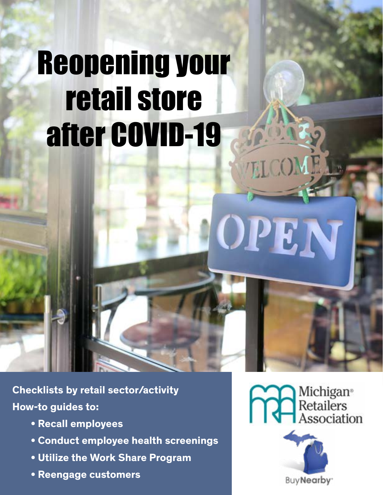# Reopening your retail store after COVID-19

**Checklists by retail sector/activity How-to guides to:**

- **Recall employees**
- **Conduct employee health screenings**
- **Utilize the Work Share Program**
- **Reengage customers**

**COM** Michigan<sup>®</sup><br>Retailers<br>Association

**ELCO** 

**OPE** 

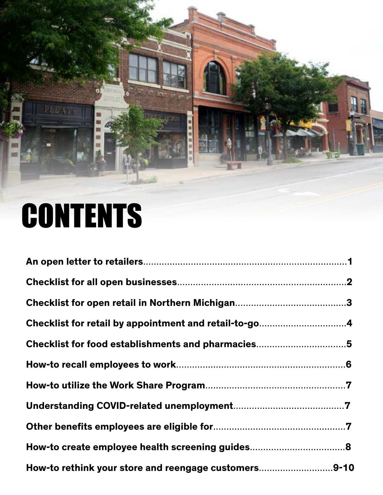# PLEAT m

# **CONTENTS**

| Checklist for retail by appointment and retail-to-go4 |  |
|-------------------------------------------------------|--|
| Checklist for food establishments and pharmacies5     |  |
|                                                       |  |
|                                                       |  |
|                                                       |  |
|                                                       |  |
|                                                       |  |
| How-to rethink your store and reengage customers9-10  |  |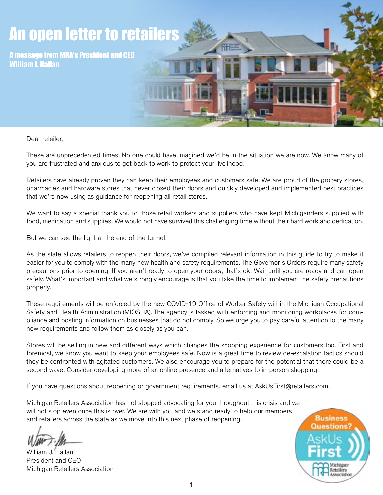

Dear retailer,

These are unprecedented times. No one could have imagined we'd be in the situation we are now. We know many of you are frustrated and anxious to get back to work to protect your livelihood.

Retailers have already proven they can keep their employees and customers safe. We are proud of the grocery stores, pharmacies and hardware stores that never closed their doors and quickly developed and implemented best practices that we're now using as guidance for reopening all retail stores.

We want to say a special thank you to those retail workers and suppliers who have kept Michiganders supplied with food, medication and supplies. We would not have survived this challenging time without their hard work and dedication.

But we can see the light at the end of the tunnel.

As the state allows retailers to reopen their doors, we've compiled relevant information in this guide to try to make it easier for you to comply with the many new health and safety requirements. The Governor's Orders require many safety precautions prior to opening. If you aren't ready to open your doors, that's ok. Wait until you are ready and can open safely. What's important and what we strongly encourage is that you take the time to implement the safety precautions properly.

These requirements will be enforced by the new COVID-19 Office of Worker Safety within the Michigan Occupational Safety and Health Administration (MIOSHA). The agency is tasked with enforcing and monitoring workplaces for compliance and posting information on businesses that do not comply. So we urge you to pay careful attention to the many new requirements and follow them as closely as you can.

Stores will be selling in new and different ways which changes the shopping experience for customers too. First and foremost, we know you want to keep your employees safe. Now is a great time to review de-escalation tactics should they be confronted with agitated customers. We also encourage you to prepare for the potential that there could be a second wave. Consider developing more of an online presence and alternatives to in-person shopping.

If you have questions about reopening or government requirements, email us at AskUsFirst@retailers.com.

Michigan Retailers Association has not stopped advocating for you throughout this crisis and we will not stop even once this is over. We are with you and we stand ready to help our members and retailers across the state as we move into this next phase of reopening.

William J. Hallan President and CEO Michigan Retailers Association

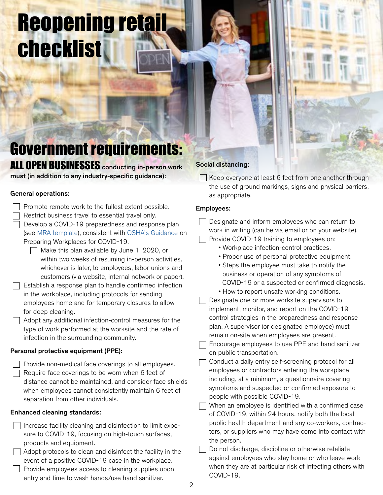# Reopening retail checklist

Government requirements:

ALL OPEN BUSINESSES conducting in-person work must (in addition to any industry-specific guidance):

#### General operations:

- $\Box$  Promote remote work to the fullest extent possible.
	- Restrict business travel to essential travel only.
	- Develop a COVID-19 preparedness and response plan (see [MRA template](https://bit.ly/2Zr1FoQ)), consistent with [OSHA's Guidance](http://OSHA’s Guidance) on Preparing Workplaces for COVID-19.
		- $\Box$  Make this plan available by June 1, 2020, or within two weeks of resuming in-person activities, whichever is later, to employees, labor unions and customers (via website, internal network or paper).
- $\Box$  Establish a response plan to handle confirmed infection in the workplace, including protocols for sending employees home and for temporary closures to allow for deep cleaning.
- $\Box$  Adopt any additional infection-control measures for the type of work performed at the worksite and the rate of infection in the surrounding community.

# Personal protective equipment (PPE):

| $\Box$ Provide non-medical face coverings to all employees. |
|-------------------------------------------------------------|
| $\Box$ Require face coverings to be worn when 6 feet of     |
| distance cannot be maintained, and consider face shields    |
| when employees cannot consistently maintain 6 feet of       |
| separation from other individuals.                          |

# Enhanced cleaning standards:

| $\Box$ Increase facility cleaning and disinfection to limit expo-                                                                                                                                                                  |
|------------------------------------------------------------------------------------------------------------------------------------------------------------------------------------------------------------------------------------|
| sure to COVID-19, focusing on high-touch surfaces,                                                                                                                                                                                 |
| products and equipment.                                                                                                                                                                                                            |
| $\bullet$ . The contract of the contract of the contract of the contract of the contract of the contract of the contract of the contract of the contract of the contract of the contract of the contract of the contract of the co |

 $\vert \ \vert$  Adopt protocols to clean and disinfect the facility in the event of a positive COVID-19 case in the workplace.

| $\Box$ Provide employees access to cleaning supplies upon |
|-----------------------------------------------------------|
| entry and time to wash hands/use hand sanitizer.          |

# Social distancing:

 $\Box$  Keep everyone at least 6 feet from one another through

| the use of ground markings, signs and physical barriers,<br>as appropriate.                                                                                                                                                                                                                                                                                                                                                                                                                                                                                                                                                                                                                                                                                                                       |
|---------------------------------------------------------------------------------------------------------------------------------------------------------------------------------------------------------------------------------------------------------------------------------------------------------------------------------------------------------------------------------------------------------------------------------------------------------------------------------------------------------------------------------------------------------------------------------------------------------------------------------------------------------------------------------------------------------------------------------------------------------------------------------------------------|
| <b>Employees:</b>                                                                                                                                                                                                                                                                                                                                                                                                                                                                                                                                                                                                                                                                                                                                                                                 |
| Designate and inform employees who can return to<br>work in writing (can be via email or on your website).<br>Provide COVID-19 training to employees on:<br>• Workplace infection-control practices.<br>• Proper use of personal protective equipment.<br>• Steps the employee must take to notify the<br>business or operation of any symptoms of<br>COVID-19 or a suspected or confirmed diagnosis.<br>• How to report unsafe working conditions.<br>Designate one or more worksite supervisors to<br>implement, monitor, and report on the COVID-19<br>control strategies in the preparedness and response<br>plan. A supervisor (or designated employee) must<br>remain on-site when employees are present.<br>Encourage employees to use PPE and hand sanitizer<br>on public transportation. |
| Conduct a daily entry self-screening protocol for all<br>employees or contractors entering the workplace,<br>including, at a minimum, a questionnaire covering<br>symptoms and suspected or confirmed exposure to<br>people with possible COVID-19.<br>When an employee is identified with a confirmed case<br>of COVID-19, within 24 hours, notify both the local<br>public health department and any co-workers, contrac-<br>tors, or suppliers who may have come into contact with<br>the person.<br>Do not discharge, discipline or otherwise retaliate<br>against employees who stay home or who leave work<br>when they are at particular risk of infecting others with<br>COVID-19.                                                                                                        |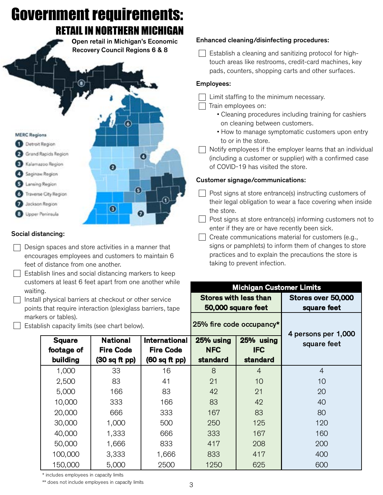

\* includes employees in capacity limits

100,000 3,333

 $\overline{1}$   $\overline{1}$   $\overline{2}$   $\overline{3}$   $\overline{3}$   $\overline{3}$   $\overline{1}$   $\overline{2}$   $\overline{3}$   $\overline{3}$   $\overline{1}$   $\overline{2}$   $\overline{3}$   $\overline{2}$   $\overline{1}$   $\overline{2}$   $\overline{3}$   $\overline{2}$   $\overline{3}$   $\overline{2}$   $\overline{3}$   $\overline{2}$   $\overline{3}$   $\overline{2}$   $\overline{$  $50,000$  1,000

 $150,000$   $500$ 

\*\* does not include employees in capacity limits

40,000 1,333 666 333 167 160 50,000 1,666 833 417 208 200 100,000 | 3,333 | 1,666 | 833 | 417 | 400 150,000 | 5,000 | 2500 | 1250 | 625 | 600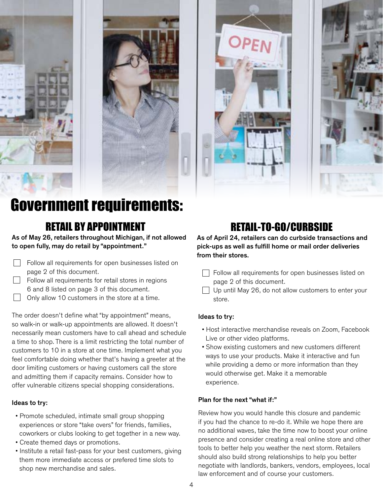





# Government requirements:

# RETAIL BY APPOINTMENT

As of May 26, retailers throughout Michigan, if not allowed to open fully, may do retail by "appointment."

- Follow all requirements for open businesses listed on page 2 of this document.
- $\Box$  Follow all requirements for retail stores in regions 6 and 8 listed on page 3 of this document.
- Only allow 10 customers in the store at a time.

The order doesn't define what "by appointment" means, so walk-in or walk-up appointments are allowed. It doesn't necessarily mean customers have to call ahead and schedule a time to shop. There is a limit restricting the total number of customers to 10 in a store at one time. Implement what you feel comfortable doing whether that's having a greeter at the door limiting customers or having customers call the store and admitting them if capacity remains. Consider how to offer vulnerable citizens special shopping considerations.

# Ideas to try:

- Promote scheduled, intimate small group shopping experiences or store "take overs" for friends, families, coworkers or clubs looking to get together in a new way.
- Create themed days or promotions.
- Institute a retail fast-pass for your best customers, giving them more immediate access or prefered time slots to shop new merchandise and sales.

# RETAIL-TO-GO/CURBSIDE

As of April 24, retailers can do curbside transactions and pick-ups as well as fulfill home or mail order deliveries from their stores.

- $\Box$  Follow all requirements for open businesses listed on page 2 of this document.
- $\Box$  Up until May 26, do not allow customers to enter your store.

# Ideas to try:

- Host interactive merchandise reveals on Zoom, Facebook Live or other video platforms.
- Show existing customers and new customers different ways to use your products. Make it interactive and fun while providing a demo or more information than they would otherwise get. Make it a memorable experience.

#### Plan for the next "what if:"

Review how you would handle this closure and pandemic if you had the chance to re-do it. While we hope there are no additional waves, take the time now to boost your online presence and consider creating a real online store and other tools to better help you weather the next storm. Retailers should also build strong relationships to help you better negotiate with landlords, bankers, vendors, employees, local law enforcement and of course your customers.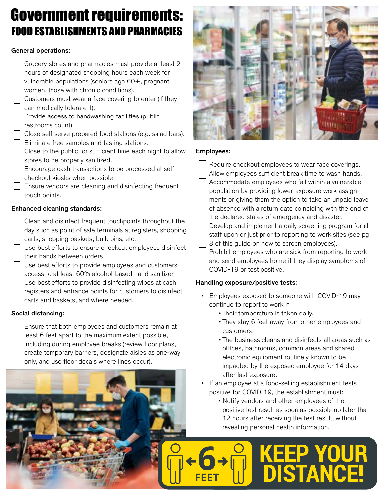# FOOD ESTABLISHMENTS AND PHARMACIES Government requirements:

# General operations:

- $\Box$  Grocery stores and pharmacies must provide at least 2 hours of designated shopping hours each week for vulnerable populations (seniors age 60+, pregnant women, those with chronic conditions).
- $\Box$  Customers must wear a face covering to enter (if they can medically tolerate it).
- $\Box$  Provide access to handwashing facilities (public restrooms count).
- $\Box$  Close self-serve prepared food stations (e.g. salad bars).
- $\Box$  Eliminate free samples and tasting stations.
- $\Box$  Close to the public for sufficient time each night to allow stores to be properly sanitized.
- $\Box$  Encourage cash transactions to be processed at selfcheckout kiosks when possible.
- $\Box$  Ensure vendors are cleaning and disinfecting frequent touch points.

# Enhanced cleaning standards:

- $\Box$  Clean and disinfect frequent touch points throughout the day such as point of sale terminals at registers, shopping carts, shopping baskets, bulk bins, etc.
- Use best efforts to ensure checkout employees disinfect their hands between orders.
- Use best efforts to provide employees and customers access to at least 60% alcohol-based hand sanitizer.
- $\Box$  Use best efforts to provide disinfecting wipes at cash registers and entrance points for customers to disinfect carts and baskets, and where needed.

# Social distancing:

 $\Box$  Ensure that both employees and customers remain at least 6 feet apart to the maximum extent possible, including during employee breaks (review floor plans, create temporary barriers, designate aisles as one-way only, and use floor decals where lines occur).



# Employees:

- Require checkout employees to wear face coverings.
- Allow employees sufficient break time to wash hands.
- Accommodate employees who fall within a vulnerable population by providing lower-exposure work assign ments or giving them the option to take an unpaid leave of absence with a return date coinciding with the end of the declared states of emergency and disaster.

 $\Box$  Develop and implement a daily screening program for all staff upon or just prior to reporting to work sites (see pg 8 of this guide on how to screen employees).

 $\Box$  Prohibit employees who are sick from reporting to work and send employees home if they display symptoms of COVID-19 or test positive.

# Handling exposure/positive tests:

- Employees exposed to someone with COVID-19 may continue to report to work if:
	- Their temperature is taken daily.
	- They stay 6 feet away from other employees and customers.
	- The business cleans and disinfects all areas such as offices, bathrooms, common areas and shared electronic equipment routinely known to be impacted by the exposed employee for 14 days after last exposure.
- If an employee at a food-selling establishment tests positive for COVID-19, the establishment must:
	- Notify vendors and other employees of the positive test result as soon as possible no later than 12 hours after receiving the test result, without revealing personal health information.

**KEEP YOUR<br>DISTANCE!**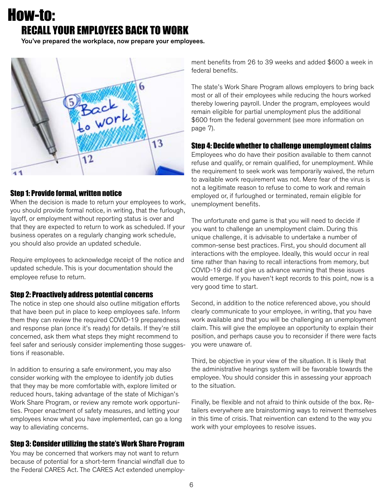# How-to: RECALL YOUR EMPLOYEES BACK TO WORK

You've prepared the workplace, now prepare your employees.



# Step 1: Provide formal, written notice

When the decision is made to return your employees to work, you should provide formal notice, in writing, that the furlough, layoff, or employment without reporting status is over and that they are expected to return to work as scheduled. If your business operates on a regularly changing work schedule, you should also provide an updated schedule.

Require employees to acknowledge receipt of the notice and updated schedule. This is your documentation should the employee refuse to return.

# Step 2: Proactively address potential concerns

The notice in step one should also outline mitigation efforts that have been put in place to keep employees safe. Inform them they can review the required COVID-19 preparedness and response plan (once it's ready) for details. If they're still concerned, ask them what steps they might recommend to feel safer and seriously consider implementing those suggestions if reasonable.

In addition to ensuring a safe environment, you may also consider working with the employee to identify job duties that they may be more comfortable with, explore limited or reduced hours, taking advantage of the state of Michigan's Work Share Program, or review any remote work opportunities. Proper enactment of safety measures, and letting your employees know what you have implemented, can go a long way to alleviating concerns.

# Step 3: Consider utilizing the state's Work Share Program

You may be concerned that workers may not want to return because of potential for a short-term financial windfall due to the Federal CARES Act. The CARES Act extended unemployment benefits from 26 to 39 weeks and added \$600 a week in federal benefits.

The state's Work Share Program allows employers to bring back most or all of their employees while reducing the hours worked thereby lowering payroll. Under the program, employees would remain eligible for partial unemployment plus the additional \$600 from the federal government (see more information on page 7).

# Step 4: Decide whether to challenge unemployment claims

Employees who do have their position available to them cannot refuse and qualify, or remain qualified, for unemployment. While the requirement to seek work was temporarily waived, the return to available work requirement was not. Mere fear of the virus is not a legitimate reason to refuse to come to work and remain employed or, if furloughed or terminated, remain eligible for unemployment benefits.

The unfortunate end game is that you will need to decide if you want to challenge an unemployment claim. During this unique challenge, it is advisable to undertake a number of common-sense best practices. First, you should document all interactions with the employee. Ideally, this would occur in real time rather than having to recall interactions from memory, but COVID-19 did not give us advance warning that these issues would emerge. If you haven't kept records to this point, now is a very good time to start.

Second, in addition to the notice referenced above, you should clearly communicate to your employee, in writing, that you have work available and that you will be challenging an unemployment claim. This will give the employee an opportunity to explain their position, and perhaps cause you to reconsider if there were facts you were unaware of.

Third, be objective in your view of the situation. It is likely that the administrative hearings system will be favorable towards the employee. You should consider this in assessing your approach to the situation.

Finally, be flexible and not afraid to think outside of the box. Retailers everywhere are brainstorming ways to reinvent themselves in this time of crisis. That reinvention can extend to the way you work with your employees to resolve issues.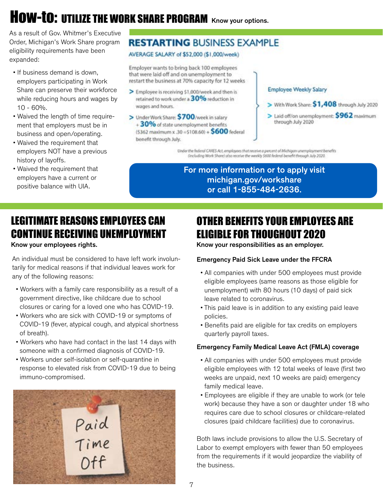# HOW-TO: UTILIZE THE WORK SHARE PROGRAM Know your options.

As a result of Gov. Whitmer's Executive Order, Michigan's Work Share program eligibility requirements have been expanded:

- If business demand is down, employers participating in Work Share can preserve their workforce while reducing hours and wages by 10 - 60%.
- Waived the length of time require ment that employers must be in business and open/operating.
- Waived the requirement that employers NOT have a previous history of layoffs.
- Waived the requirement that employers have a current or positive balance with UIA.

# **RESTARTING BUSINESS EXAMPLE**

AVERAGE SALARY of \$52,000 (\$1,000/week)

Employer wants to bring back 100 employees that were laid off and on unemployment to restart the business at 70% capacity for 12 weeks

- > Employee is receiving \$1,000/week and then is retained to work under a 30% reduction in wages and hours.
- > Under Work Share: \$700/week in salary +30% of state unemployment benefits  $(5362 \text{ maximum x } .30 \text{ = } $108.60$) + $600 \text{ federal}$ benefit through July.

#### Employee Weekly Salary

- > With Work Share: \$1,408 through July 2020
- > Laid off/on unemployment: \$962 maximum through July 2020

Under the federal CARES Act, employees that receive a percent of Michigan unemployment benefits<br>(Including Work Share) also receive the weekly 5600 federal benefit through July 2020.

For more information or to apply visit michigan.gov/workshare or call 1-855-484-2636.

# LEGITIMATE REASONS EMPLOYEES CAN CONTINUE RECEIVING UNEMPLOYMENT

Know your employees rights.

An individual must be considered to have left work involuntarily for medical reasons if that individual leaves work for any of the following reasons:

- Workers with a family care responsibility as a result of a government directive, like childcare due to school closures or caring for a loved one who has COVID-19.
- Workers who are sick with COVID-19 or symptoms of COVID-19 (fever, atypical cough, and atypical shortness of breath).
- Workers who have had contact in the last 14 days with someone with a confirmed diagnosis of COVID-19.
- Workers under self-isolation or self-quarantine in response to elevated risk from COVID-19 due to being immuno-compromised.



# OTHER BENEFITS YOUR EMPLOYEES ARE ELIGIBLE FOR THOUGHOUT 2020

Know your responsibilities as an employer.

# Emergency Paid Sick Leave under the FFCRA

- All companies with under 500 employees must provide eligible employees (same reasons as those eligible for unemployment) with 80 hours (10 days) of paid sick leave related to coronavirus.
- This paid leave is in addition to any existing paid leave policies.
- Benefits paid are eligible for tax credits on employers quarterly payroll taxes.

# Emergency Family Medical Leave Act (FMLA) coverage

- All companies with under 500 employees must provide eligible employees with 12 total weeks of leave (first two weeks are unpaid, next 10 weeks are paid) emergency family medical leave.
- Employees are eligible if they are unable to work (or tele work) because they have a son or daughter under 18 who requires care due to school closures or childcare-related closures (paid childcare facilities) due to coronavirus.

Both laws include provisions to allow the U.S. Secretary of Labor to exempt employers with fewer than 50 employees from the requirements if it would jeopardize the viability of the business.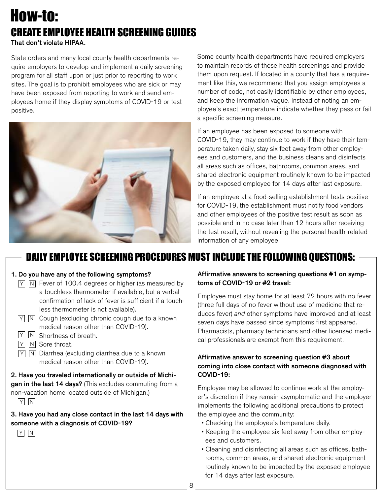# CREATE EMPLOYEE HEALTH SCREENING GUIDES That don't violate HIPAA. How-to:

State orders and many local county health departments require employers to develop and implement a daily screening program for all staff upon or just prior to reporting to work sites. The goal is to prohibit employees who are sick or may have been exposed from reporting to work and send employees home if they display symptoms of COVID-19 or test positive.



Some county health departments have required employers to maintain records of these health screenings and provide them upon request. If located in a county that has a requirement like this, we recommend that you assign employees a number of code, not easily identifiable by other employees, and keep the information vague. Instead of noting an employee's exact temperature indicate whether they pass or fail a specific screening measure.

If an employee has been exposed to someone with COVID-19, they may continue to work if they have their temperature taken daily, stay six feet away from other employees and customers, and the business cleans and disinfects all areas such as offices, bathrooms, common areas, and shared electronic equipment routinely known to be impacted by the exposed employee for 14 days after last exposure.

If an employee at a food-selling establishment tests positive for COVID-19, the establishment must notify food vendors and other employees of the positive test result as soon as possible and in no case later than 12 hours after receiving the test result, without revealing the personal health-related information of any employee.

# DAILY EMPLOYEE SCREENING PROCEDURES MUST INCLUDE THE FOLLOWING QUESTIONS:

#### 1. Do you have any of the following symptoms?

- $\overline{Y}$   $\overline{N}$  Fever of 100.4 degrees or higher (as measured by a touchless thermometer if available, but a verbal confirmation of lack of fever is sufficient if a touch less thermometer is not available).
- $\overline{Y}$   $\overline{N}$  Cough (excluding chronic cough due to a known medical reason other than COVID-19).
- $Y \mid N$  Shortness of breath.
- Y N Sore throat.
- $\overline{Y}$   $\overline{N}$  Diarrhea (excluding diarrhea due to a known medical reason other than COVID-19).

2. Have you traveled internationally or outside of Michigan in the last 14 days? (This excludes commuting from a non-vacation home located outside of Michigan.)  $Y$   $N$ 

3. Have you had any close contact in the last 14 days with someone with a diagnosis of COVID-19?

Y N

### Affirmative answers to screening questions #1 on symptoms of COVID-19 or #2 travel:

Employee must stay home for at least 72 hours with no fever (three full days of no fever without use of medicine that reduces fever) and other symptoms have improved and at least seven days have passed since symptoms first appeared. Pharmacists, pharmacy technicians and other licensed medical professionals are exempt from this requirement.

# Affirmative answer to screening question #3 about coming into close contact with someone diagnosed with COVID-19:

Employee may be allowed to continue work at the employer's discretion if they remain asymptomatic and the employer implements the following additional precautions to protect the employee and the community:

- Checking the employee's temperature daily.
- Keeping the employee six feet away from other employ ees and customers.
- Cleaning and disinfecting all areas such as offices, bath rooms, common areas, and shared electronic equipment routinely known to be impacted by the exposed employee for 14 days after last exposure.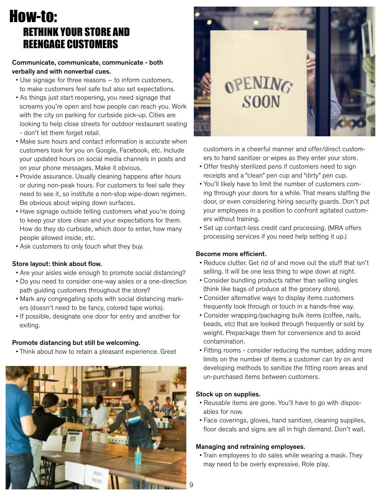# How-to: RETHINK YOUR STORE AND REENGAGE CUSTOMERS

#### Communicate, communicate, communicate - both verbally and with nonverbal cues.

- Use signage for three reasons to inform customers, to make customers feel safe but also set expectations.
- As things just start reopening, you need signage that screams you're open and how people can reach you. Work with the city on parking for curbside pick-up. Cities are looking to help close streets for outdoor restaurant seating - don't let them forget retail.
- Make sure hours and contact information is accurate when customers look for you on Google, Facebook, etc. Include your updated hours on social media channels in posts and on your phone messages. Make it obvious.
- Provide assurance. Usually cleaning happens after hours or during non-peak hours. For customers to feel safe they need to see it, so institute a non-stop wipe-down regimen. Be obvious about wiping down surfaces.
- Have signage outside telling customers what you're doing to keep your store clean and your expectations for them. How do they do curbside, which door to enter, how many people allowed inside, etc.
- Ask customers to only touch what they buy.

#### Store layout: think about flow.

- Are your aisles wide enough to promote social distancing?
- Do you need to consider one-way aisles or a one-direction path guiding customers throughout the store?
- Mark any congregating spots with social distancing mark ers (doesn't need to be fancy, colored tape works).
- If possible, designate one door for entry and another for exiting.

#### Promote distancing but still be welcoming.

• Think about how to retain a pleasant experience. Greet





 customers in a cheerful manner and offer/direct custom ers to hand sanitizer or wipes as they enter your store.

- Offer freshly sterilized pens if customers need to sign receipts and a "clean" pen cup and "dirty" pen cup.
- You'll likely have to limit the number of customers com ing through your doors for a while. That means staffing the door, or even considering hiring security guards. Don't put your employees in a position to confront agitated custom ers without training.
- Set up contact-less credit card processing. (MRA offers processing services if you need help setting it up.)

#### Become more efficient.

- Reduce clutter. Get rid of and move out the stuff that isn't selling. It will be one less thing to wipe down at night.
- Consider bundling products rather than selling singles (think like bags of produce at the grocery store).
- Consider alternative ways to display items customers frequently look through or touch in a hands-free way.
- Consider wrapping/packaging bulk items (coffee, nails, beads, etc) that are looked through frequently or sold by weight. Prepackage them for convenience and to avoid contamination.
- Fitting rooms consider reducing the number, adding more limits on the number of items a customer can try on and developing methods to sanitize the fitting room areas and un-purchased items between customers.

#### Stock up on supplies.

- Reusable items are gone. You'll have to go with dispos ables for now.
- Face coverings, gloves, hand sanitizer, cleaning supplies, floor decals and signs are all in high demand. Don't wait.

#### Managing and retraining employees.

 • Train employees to do sales while wearing a mask. They may need to be overly expressive. Role play.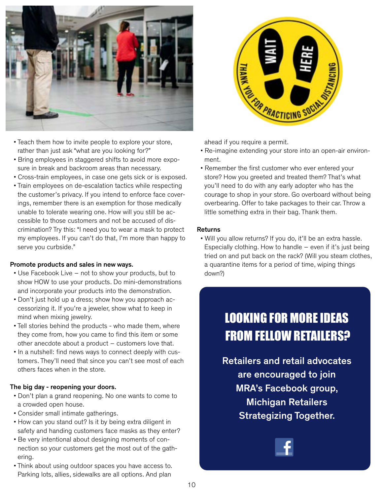



- Teach them how to invite people to explore your store, rather than just ask "what are you looking for?"
- Bring employees in staggered shifts to avoid more expo sure in break and backroom areas than necessary.
- Cross-train employees, in case one gets sick or is exposed.
- Train employees on de-escalation tactics while respecting the customer's privacy. If you intend to enforce face cover ings, remember there is an exemption for those medically unable to tolerate wearing one. How will you still be ac cessible to those customers and not be accused of dis crimination? Try this: "I need you to wear a mask to protect my employees. If you can't do that, I'm more than happy to serve you curbside."

#### Promote products and sales in new ways.

- Use Facebook Live not to show your products, but to show HOW to use your products. Do mini-demonstrations and incorporate your products into the demonstration.
- Don't just hold up a dress; show how you approach ac cessorizing it. If you're a jeweler, show what to keep in mind when mixing jewelry.
- Tell stories behind the products who made them, where they come from, how you came to find this item or some other anecdote about a product – customers love that.
- In a nutshell: find news ways to connect deeply with cus tomers. They'll need that since you can't see most of each others faces when in the store.

#### The big day - reopening your doors.

- Don't plan a grand reopening. No one wants to come to a crowded open house.
- Consider small intimate gatherings.
- How can you stand out? Is it by being extra diligent in safety and handing customers face masks as they enter?
- Be very intentional about designing moments of con nection so your customers get the most out of the gath ering.
- Think about using outdoor spaces you have access to. Parking lots, allies, sidewalks are all options. And plan

- Re-imagine extending your store into an open-air environ ment.
- Remember the first customer who ever entered your store? How you greeted and treated them? That's what you'll need to do with any early adopter who has the courage to shop in your store. Go overboard without being overbearing. Offer to take packages to their car. Throw a little something extra in their bag. Thank them.

#### Returns

 • Will you allow returns? If you do, it'll be an extra hassle. Especially clothing. How to handle  $-$  even if it's just being tried on and put back on the rack? (Will you steam clothes, a quarantine items for a period of time, wiping things down?)

# LOOKING FOR MORE IDEAS FROM FELLOW RETAILERS?

Retailers and retail advocates are encouraged to join MRA's Facebook group, Michigan Retailers Strategizing Together.